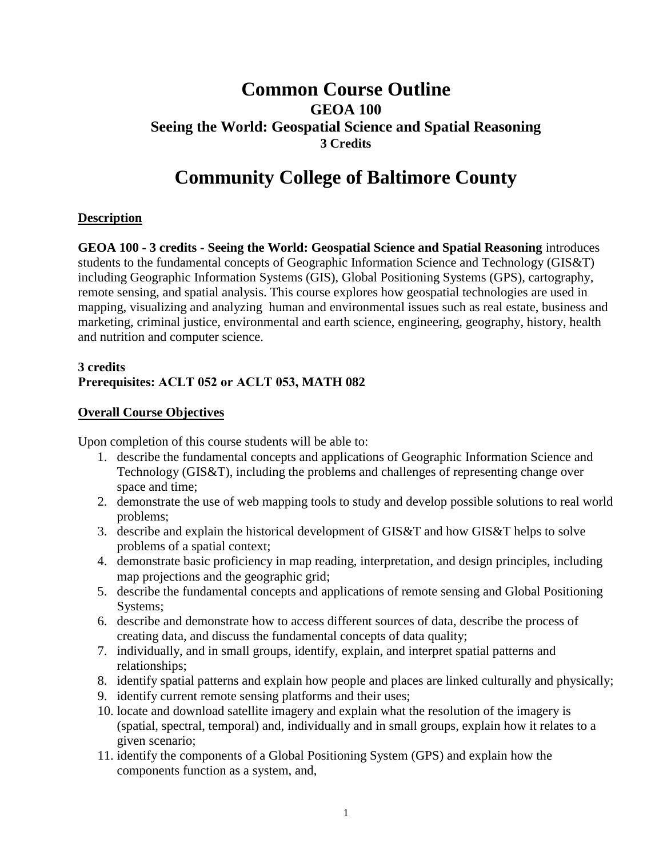# **Common Course Outline GEOA 100 Seeing the World: Geospatial Science and Spatial Reasoning 3 Credits**

# **Community College of Baltimore County**

# **Description**

**GEOA 100 - 3 credits - Seeing the World: Geospatial Science and Spatial Reasoning** introduces students to the fundamental concepts of Geographic Information Science and Technology (GIS&T) including Geographic Information Systems (GIS), Global Positioning Systems (GPS), cartography, remote sensing, and spatial analysis. This course explores how geospatial technologies are used in mapping, visualizing and analyzing human and environmental issues such as real estate, business and marketing, criminal justice, environmental and earth science, engineering, geography, history, health and nutrition and computer science.

### **3 credits Prerequisites: ACLT 052 or ACLT 053, MATH 082**

#### **Overall Course Objectives**

Upon completion of this course students will be able to:

- 1. describe the fundamental concepts and applications of Geographic Information Science and Technology (GIS&T), including the problems and challenges of representing change over space and time;
- 2. demonstrate the use of web mapping tools to study and develop possible solutions to real world problems;
- 3. describe and explain the historical development of  $GIS&T$  and how  $GIS&T$  helps to solve problems of a spatial context;
- 4. demonstrate basic proficiency in map reading, interpretation, and design principles, including map projections and the geographic grid;
- 5. describe the fundamental concepts and applications of remote sensing and Global Positioning Systems;
- 6. describe and demonstrate how to access different sources of data, describe the process of creating data, and discuss the fundamental concepts of data quality;
- 7. individually, and in small groups, identify, explain, and interpret spatial patterns and relationships;
- 8. identify spatial patterns and explain how people and places are linked culturally and physically;
- 9. identify current remote sensing platforms and their uses;
- 10. locate and download satellite imagery and explain what the resolution of the imagery is (spatial, spectral, temporal) and, individually and in small groups, explain how it relates to a given scenario;
- 11. identify the components of a Global Positioning System (GPS) and explain how the components function as a system, and,